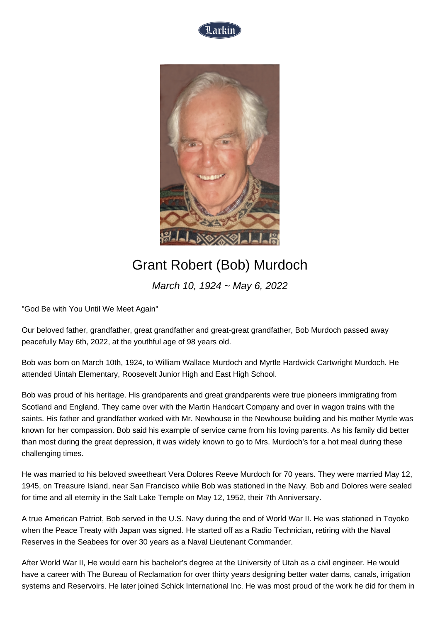



## Grant Robert (Bob) Murdoch

March 10, 1924 ~ May 6, 2022

"God Be with You Until We Meet Again"

Our beloved father, grandfather, great grandfather and great-great grandfather, Bob Murdoch passed away peacefully May 6th, 2022, at the youthful age of 98 years old.

Bob was born on March 10th, 1924, to William Wallace Murdoch and Myrtle Hardwick Cartwright Murdoch. He attended Uintah Elementary, Roosevelt Junior High and East High School.

Bob was proud of his heritage. His grandparents and great grandparents were true pioneers immigrating from Scotland and England. They came over with the Martin Handcart Company and over in wagon trains with the saints. His father and grandfather worked with Mr. Newhouse in the Newhouse building and his mother Myrtle was known for her compassion. Bob said his example of service came from his loving parents. As his family did better than most during the great depression, it was widely known to go to Mrs. Murdoch's for a hot meal during these challenging times.

He was married to his beloved sweetheart Vera Dolores Reeve Murdoch for 70 years. They were married May 12, 1945, on Treasure Island, near San Francisco while Bob was stationed in the Navy. Bob and Dolores were sealed for time and all eternity in the Salt Lake Temple on May 12, 1952, their 7th Anniversary.

A true American Patriot, Bob served in the U.S. Navy during the end of World War II. He was stationed in Toyoko when the Peace Treaty with Japan was signed. He started off as a Radio Technician, retiring with the Naval Reserves in the Seabees for over 30 years as a Naval Lieutenant Commander.

After World War II, He would earn his bachelor's degree at the University of Utah as a civil engineer. He would have a career with The Bureau of Reclamation for over thirty years designing better water dams, canals, irrigation systems and Reservoirs. He later joined Schick International Inc. He was most proud of the work he did for them in